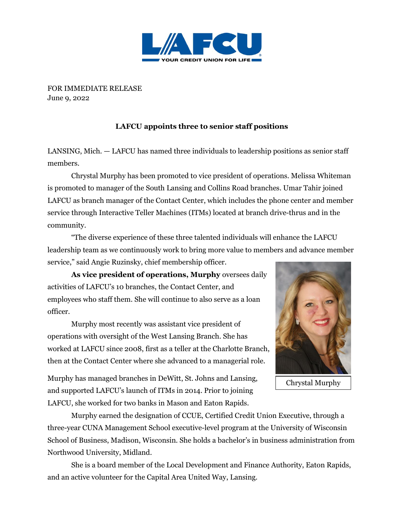

FOR IMMEDIATE RELEASE June 9, 2022

## **LAFCU appoints three to senior staff positions**

LANSING, Mich. — LAFCU has named three individuals to leadership positions as senior staff members.

Chrystal Murphy has been promoted to vice president of operations. Melissa Whiteman is promoted to manager of the South Lansing and Collins Road branches. Umar Tahir joined LAFCU as branch manager of the Contact Center, which includes the phone center and member service through Interactive Teller Machines (ITMs) located at branch drive-thrus and in the community.

"The diverse experience of these three talented individuals will enhance the LAFCU leadership team as we continuously work to bring more value to members and advance member service," said Angie Ruzinsky, chief membership officer.

**As vice president of operations, Murphy** oversees daily activities of LAFCU's 10 branches, the Contact Center, and employees who staff them. She will continue to also serve as a loan officer.

Murphy most recently was assistant vice president of operations with oversight of the West Lansing Branch. She has worked at LAFCU since 2008, first as a teller at the Charlotte Branch, then at the Contact Center where she advanced to a managerial role.

Murphy has managed branches in DeWitt, St. Johns and Lansing, and supported LAFCU's launch of ITMs in 2014. Prior to joining LAFCU, she worked for two banks in Mason and Eaton Rapids.



Chrystal Murphy

Murphy earned the designation of CCUE, Certified Credit Union Executive, through a three-year CUNA Management School executive-level program at the University of Wisconsin School of Business, Madison, Wisconsin. She holds a bachelor's in business administration from Northwood University, Midland.

She is a board member of the Local Development and Finance Authority, Eaton Rapids, and an active volunteer for the Capital Area United Way, Lansing.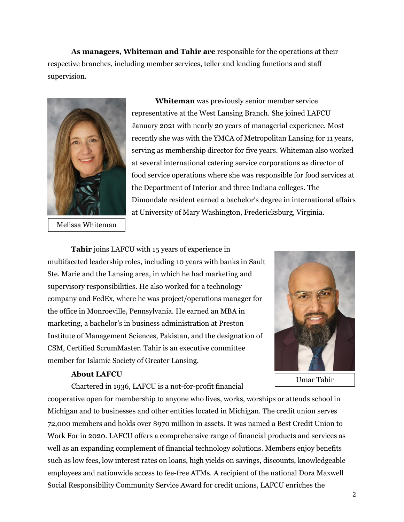**As managers, Whiteman and Tahir are** responsible for the operations at their respective branches, including member services, teller and lending functions and staff supervision.



Melissa Whiteman

**Whiteman** was previously senior member service representative at the West Lansing Branch. She joined LAFCU January 2021 with nearly 20 years of managerial experience. Most recently she was with the YMCA of Metropolitan Lansing for 11 years, serving as membership director for five years. Whiteman also worked at several international catering service corporations as director of food service operations where she was responsible for food services at the Department of Interior and three Indiana colleges. The Dimondale resident earned a bachelor's degree in international affairs at University of Mary Washington, Fredericksburg, Virginia.

**Tahir** joins LAFCU with 15 years of experience in multifaceted leadership roles, including 10 years with banks in Sault Ste. Marie and the Lansing area, in which he had marketing and supervisory responsibilities. He also worked for a technology company and FedEx, where he was project/operations manager for the office in Monroeville, Pennsylvania. He earned an MBA in marketing, a bachelor's in business administration at Preston Institute of Management Sciences, Pakistan, and the designation of CSM, Certified ScrumMaster. Tahir is an executive committee member for Islamic Society of Greater Lansing.

Umar Tahir

## **About LAFCU**

Chartered in 1936, LAFCU is a not-for-profit financial

cooperative open for membership to anyone who lives, works, worships or attends school in Michigan and to businesses and other entities located in Michigan. The credit union serves 72,000 members and holds over \$970 million in assets. It was named a Best Credit Union to Work For in 2020. LAFCU offers a comprehensive range of financial products and services as well as an expanding complement of financial technology solutions. Members enjoy benefits such as low fees, low interest rates on loans, high yields on savings, discounts, knowledgeable employees and nationwide access to fee-free ATMs. A recipient of the national Dora Maxwell Social Responsibility Community Service Award for credit unions, LAFCU enriches the